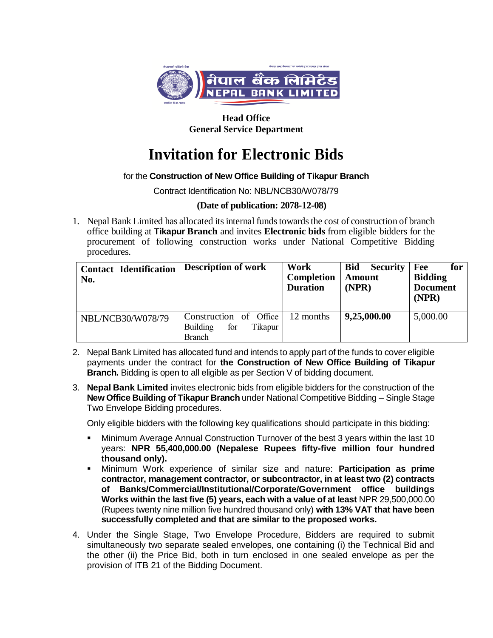

**Head Office General Service Department**

# **Invitation for Electronic Bids**

## for the **Construction of New Office Building of Tikapur Branch**

Contract Identification No: NBL/NCB30/W078/79

### **(Date of publication: 2078-12-08)**

1. Nepal Bank Limited has allocated its internal funds towards the cost of construction of branch office building at **Tikapur Branch** and invites **Electronic bids** from eligible bidders for the procurement of following construction works under National Competitive Bidding procedures.

| <b>Contact Identification</b><br>No. | <b>Description of work</b>                                                   | Work<br>Completion<br><b>Duration</b> | <b>Bid</b><br><b>Security</b><br><b>Amount</b><br>(NPR) | Fee<br>for<br><b>Bidding</b><br><b>Document</b><br>(NPR) |
|--------------------------------------|------------------------------------------------------------------------------|---------------------------------------|---------------------------------------------------------|----------------------------------------------------------|
| NBL/NCB30/W078/79                    | Construction of Office<br>for<br><b>Building</b><br>Tikapur<br><b>Branch</b> | 12 months                             | 9,25,000.00                                             | 5,000.00                                                 |

- 2. Nepal Bank Limited has allocated fund and intends to apply part of the funds to cover eligible payments under the contract for **the Construction of New Office Building of Tikapur Branch.** Bidding is open to all eligible as per Section V of bidding document.
- 3. **Nepal Bank Limited** invites electronic bids from eligible bidders for the construction of the **New Office Building of Tikapur Branch** under National Competitive Bidding – Single Stage Two Envelope Bidding procedures.

Only eligible bidders with the following key qualifications should participate in this bidding:

- Minimum Average Annual Construction Turnover of the best 3 years within the last 10 years: **NPR 55,400,000.00 (Nepalese Rupees fifty-five million four hundred thousand only).**
- Minimum Work experience of similar size and nature: **Participation as prime contractor, management contractor, or subcontractor, in at least two (2) contracts of Banks/Commercial/Institutional/Corporate/Government office buildings Works within the last five (5) years, each with a value of at least** NPR 29,500,000.00 (Rupees twenty nine million five hundred thousand only) **with 13% VAT that have been successfully completed and that are similar to the proposed works.**
- 4. Under the Single Stage, Two Envelope Procedure, Bidders are required to submit simultaneously two separate sealed envelopes, one containing (i) the Technical Bid and the other (ii) the Price Bid, both in turn enclosed in one sealed envelope as per the provision of ITB 21 of the Bidding Document.